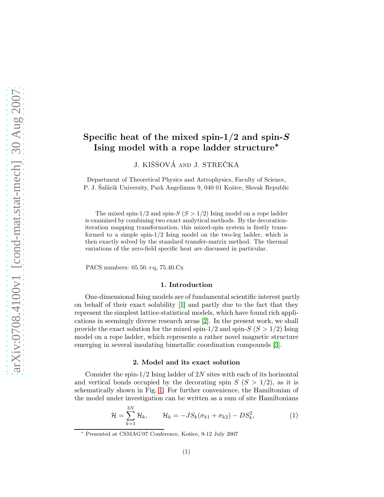# Specific heat of the mixed spin-1/2 and spin- $S$ Ising model with a rope ladder structure<sup>∗</sup>

J. KIŠŠOVÁ AND J. STREČKA

Department of Theoretical Physics and Astrophysics, Faculty of Science, P. J. Safárik University, Park Angelinum 9, 040 01 Košice, Slovak Republic

The mixed spin-1/2 and spin- $S(S > 1/2)$  Ising model on a rope ladder is examined by combining two exact analytical methods. By the decorationiteration mapping transformation, this mixed-spin system is firstly transformed to a simple spin-1/2 Ising model on the two-leg ladder, which is then exactly solved by the standard transfer-matrix method. The thermal variations of the zero-field specific heat are discussed in particular.

PACS numbers: 05.50.+q, 75.40.Cx

#### 1. Introduction

One-dimensional Ising models are of fundamental scientific interest partly on behalf of their exact solubility [\[1\]](#page-3-0) and partly due to the fact that they represent the simplest lattice-statistical models, which have found rich applications in seemingly diverse research areas [\[2\]](#page-3-1). In the present work, we shall provide the exact solution for the mixed spin-1/2 and spin- $S(S > 1/2)$  Ising model on a rope ladder, which represents a rather novel magnetic structure emerging in several insulating bimetallic coordination compounds [\[3\]](#page-3-2).

## 2. Model and its exact solution

Consider the spin- $1/2$  Ising ladder of 2N sites with each of its horizontal and vertical bonds occupied by the decorating spin  $S(S > 1/2)$ , as it is schematically shown in Fig. [1.](#page-1-0) For further convenience, the Hamiltonian of the model under investigation can be written as a sum of site Hamiltonians

$$
\mathcal{H} = \sum_{k=1}^{3N} \mathcal{H}_k, \qquad \mathcal{H}_k = -JS_k(\sigma_{k1} + \sigma_{k2}) - DS_k^2,
$$
 (1)

<sup>\*</sup> Presented at CSMAG'07 Conference, Košice, 9-12 July 2007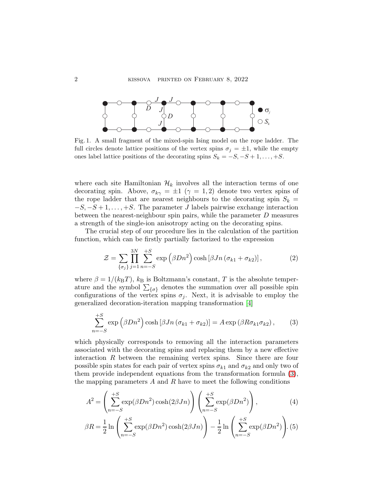

<span id="page-1-0"></span>Fig. 1. A small fragment of the mixed-spin Ising model on the rope ladder. The full circles denote lattice positions of the vertex spins  $\sigma_j = \pm 1$ , while the empty ones label lattice positions of the decorating spins  $S_k = -S, -S + 1, \ldots, +S$ .

where each site Hamiltonian  $\mathcal{H}_k$  involves all the interaction terms of one decorating spin. Above,  $\sigma_{k\gamma} = \pm 1 \; (\gamma = 1, 2)$  denote two vertex spins of the rope ladder that are nearest neighbours to the decorating spin  $S_k =$  $-S, -S+1, \ldots, +S$ . The parameter J labels pairwise exchange interaction between the nearest-neighbour spin pairs, while the parameter D measures a strength of the single-ion anisotropy acting on the decorating spins.

The crucial step of our procedure lies in the calculation of the partition function, which can be firstly partially factorized to the expression

<span id="page-1-2"></span>
$$
\mathcal{Z} = \sum_{\{\sigma_j\}} \prod_{j=1}^{3N} \sum_{n=-S}^{+S} \exp\left(\beta D n^2\right) \cosh\left[\beta J n \left(\sigma_{k1} + \sigma_{k2}\right)\right],\tag{2}
$$

where  $\beta = 1/(k_BT)$ ,  $k_B$  is Boltzmann's constant, T is the absolute temperature and the symbol  $\sum_{\{\sigma\}}$  denotes the summation over all possible spin configurations of the vertex spins  $\sigma_j$ . Next, it is advisable to employ the generalized decoration-iteration mapping transformation [\[4\]](#page-3-3)

<span id="page-1-1"></span>
$$
\sum_{n=-S}^{+S} \exp\left(\beta D n^2\right) \cosh\left[\beta J n \left(\sigma_{k1} + \sigma_{k2}\right)\right] = A \exp\left(\beta R \sigma_{k1} \sigma_{k2}\right),\tag{3}
$$

which physically corresponds to removing all the interaction parameters associated with the decorating spins and replacing them by a new effective interaction  $R$  between the remaining vertex spins. Since there are four possible spin states for each pair of vertex spins  $\sigma_{k1}$  and  $\sigma_{k2}$  and only two of them provide independent equations from the transformation formula [\(3\)](#page-1-1), the mapping parameters  $A$  and  $R$  have to meet the following conditions

<span id="page-1-3"></span>
$$
A^{2} = \left(\sum_{n=-S}^{+S} \exp(\beta D n^{2}) \cosh(2\beta J n)\right) \left(\sum_{n=-S}^{+S} \exp(\beta D n^{2})\right),\tag{4}
$$

$$
\beta R = \frac{1}{2} \ln \left( \sum_{n=-S}^{+S} \exp(\beta D n^2) \cosh(2\beta J n) \right) - \frac{1}{2} \ln \left( \sum_{n=-S}^{+S} \exp(\beta D n^2) \right). (5)
$$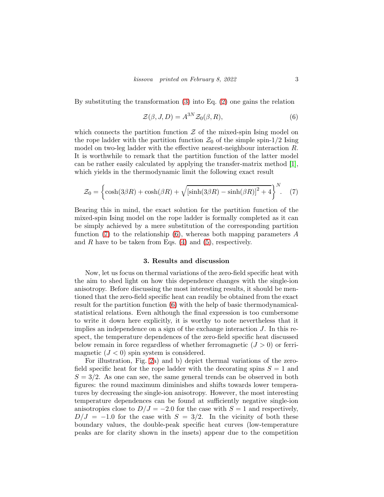By substituting the transformation [\(3\)](#page-1-1) into Eq. [\(2\)](#page-1-2) one gains the relation

<span id="page-2-1"></span>
$$
\mathcal{Z}(\beta, J, D) = A^{3N} \mathcal{Z}_0(\beta, R),\tag{6}
$$

which connects the partition function  $\mathcal Z$  of the mixed-spin Ising model on the rope ladder with the partition function  $\mathcal{Z}_0$  of the simple spin-1/2 Ising model on two-leg ladder with the effective nearest-neighbour interaction R. It is worthwhile to remark that the partition function of the latter model can be rather easily calculated by applying the transfer-matrix method [\[1\]](#page-3-0), which yields in the thermodynamic limit the following exact result

<span id="page-2-0"></span>
$$
\mathcal{Z}_0 = \left\{ \cosh(3\beta R) + \cosh(\beta R) + \sqrt{[\sinh(3\beta R) - \sinh(\beta R)]^2 + 4} \right\}^N.
$$
 (7)

Bearing this in mind, the exact solution for the partition function of the mixed-spin Ising model on the rope ladder is formally completed as it can be simply achieved by a mere substitution of the corresponding partition function  $(7)$  to the relationship  $(6)$ , whereas both mapping parameters A and  $R$  have to be taken from Eqs. [\(4\)](#page-1-3) and [\(5\)](#page-1-3), respectively.

#### 3. Results and discussion

Now, let us focus on thermal variations of the zero-field specific heat with the aim to shed light on how this dependence changes with the single-ion anisotropy. Before discussing the most interesting results, it should be mentioned that the zero-field specific heat can readily be obtained from the exact result for the partition function [\(6\)](#page-2-1) with the help of basic thermodynamicalstatistical relations. Even although the final expression is too cumbersome to write it down here explicitly, it is worthy to note nevertheless that it implies an independence on a sign of the exchange interaction  $J$ . In this respect, the temperature dependences of the zero-field specific heat discussed below remain in force regardless of whether ferromagnetic  $(J > 0)$  or ferrimagnetic  $(J < 0)$  spin system is considered.

For illustration, Fig. [2a](#page-1-2)) and b) depict thermal variations of the zerofield specific heat for the rope ladder with the decorating spins  $S = 1$  and  $S = 3/2$ . As one can see, the same general trends can be observed in both figures: the round maximum diminishes and shifts towards lower temperatures by decreasing the single-ion anisotropy. However, the most interesting temperature dependences can be found at sufficiently negative single-ion anisotropies close to  $D/J = -2.0$  for the case with  $S = 1$  and respectively,  $D/J = -1.0$  for the case with  $S = 3/2$ . In the vicinity of both these boundary values, the double-peak specific heat curves (low-temperature peaks are for clarity shown in the insets) appear due to the competition